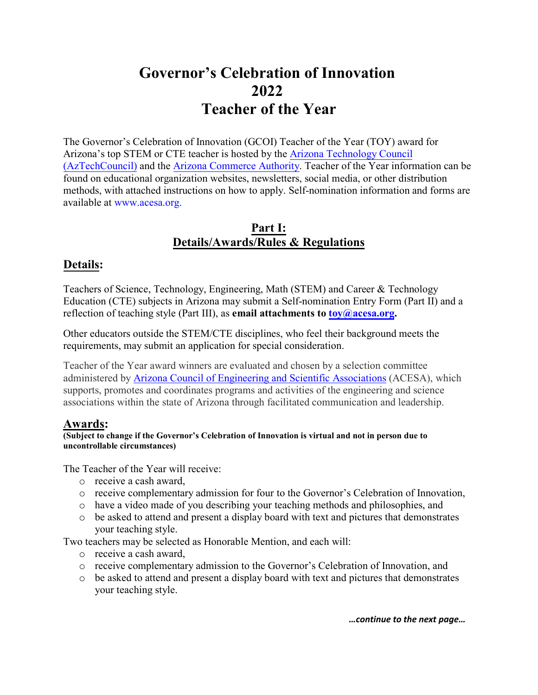# **Governor's Celebration of Innovation 2022 Teacher of the Year**

The Governor's Celebration of Innovation (GCOI) Teacher of the Year (TOY) award for Arizona's top STEM or CTE teacher is hosted by the [Arizona Technology Council](https://www.aztechcouncil.org/) [\(AzTechCouncil\)](https://www.aztechcouncil.org/) and the [Arizona Commerce Authority.](https://www.azcommerce.com/) Teacher of the Year information can be found on educational organization websites, newsletters, social media, or other distribution methods, with attached instructions on how to apply. Self-nomination information and forms are available at [www.acesa.org.](http://www.acesa.org/) 

## **Part I: Details/Awards/Rules & Regulations**

## **Details:**

Teachers of Science, Technology, Engineering, Math (STEM) and Career & Technology Education (CTE) subjects in Arizona may submit a Self-nomination Entry Form (Part II) and a reflection of teaching style (Part III), as **email attachments t[o toy@acesa.org.](mailto:toy@acesa.org)** 

Other educators outside the STEM/CTE disciplines, who feel their background meets the requirements, may submit an application for special consideration.

Teacher of the Year award winners are evaluated and chosen by a selection committee administered by [Arizona Council of Engineering and Scientific Associations](http://www.acesa.org/) (ACESA), which supports, promotes and coordinates programs and activities of the engineering and science associations within the state of Arizona through facilitated communication and leadership.

## **Awards:**

**(Subject to change if the Governor's Celebration of Innovation is virtual and not in person due to uncontrollable circumstances)**

The Teacher of the Year will receive:

- o receive a cash award,
- o receive complementary admission for four to the Governor's Celebration of Innovation,
- o have a video made of you describing your teaching methods and philosophies, and
- $\circ$  be asked to attend and present a display board with text and pictures that demonstrates your teaching style.

Two teachers may be selected as Honorable Mention, and each will:

- o receive a cash award,
- o receive complementary admission to the Governor's Celebration of Innovation, and
- o be asked to attend and present a display board with text and pictures that demonstrates your teaching style.

*…continue to the next page…*